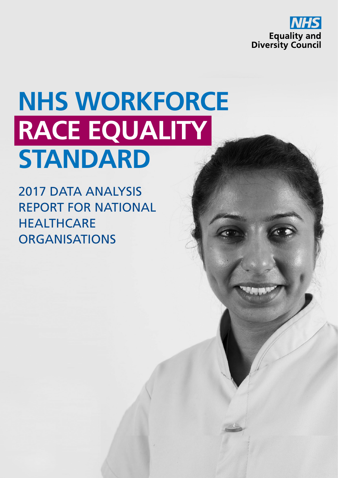

# **NHS WORKFORCE RACE EQUALITY STANDARD**

2017 DATA ANALYSIS REPORT FOR NATIONAL **HEALTHCARE ORGANISATIONS**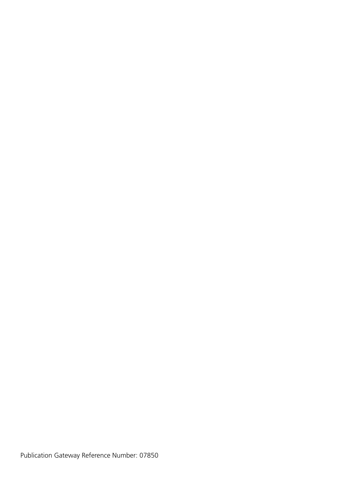Publication Gateway Reference Number: 07850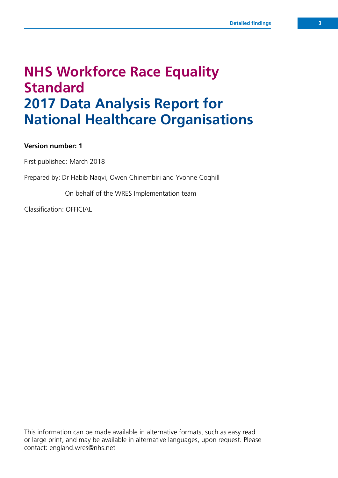## **NHS Workforce Race Equality Standard 2017 Data Analysis Report for National Healthcare Organisations**

#### **Version number: 1**

First published: March 2018

Prepared by: Dr Habib Naqvi, Owen Chinembiri and Yvonne Coghill

On behalf of the WRES Implementation team

Classification: OFFICIAL

This information can be made available in alternative formats, such as easy read or large print, and may be available in alternative languages, upon request. Please contact: [england.wres@nhs.net](mailto:england.wres@nhs.net)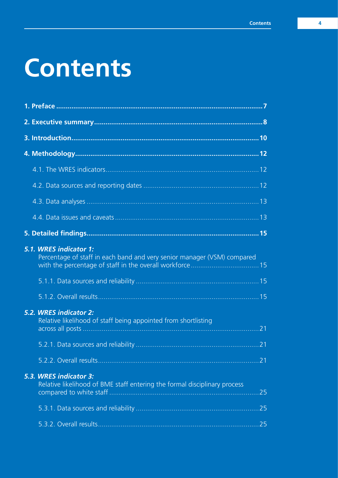# **Contents**

| 5.1. WRES indicator 1:<br>Percentage of staff in each band and very senior manager (VSM) compared   |    |
|-----------------------------------------------------------------------------------------------------|----|
|                                                                                                     |    |
|                                                                                                     |    |
| 5.2. WRES indicator 2:<br>Relative likelihood of staff being appointed from shortlisting            |    |
|                                                                                                     |    |
|                                                                                                     |    |
| 5.3. WRES indicator 3:<br>Relative likelihood of BME staff entering the formal disciplinary process | 25 |
|                                                                                                     |    |
|                                                                                                     |    |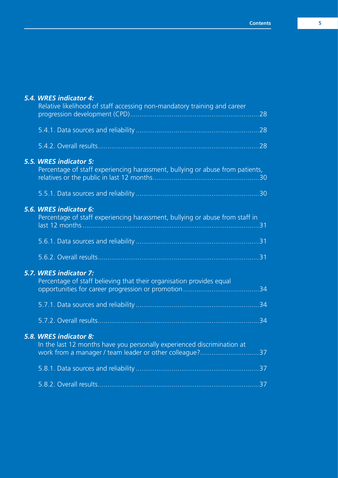#### *5.4. WRES indicator 4:*

| Relative likelihood of staff accessing non-mandatory training and career                                                                                     | .28             |
|--------------------------------------------------------------------------------------------------------------------------------------------------------------|-----------------|
|                                                                                                                                                              |                 |
|                                                                                                                                                              |                 |
| 5.5. WRES indicator 5:<br>Percentage of staff experiencing harassment, bullying or abuse from patients,                                                      |                 |
|                                                                                                                                                              |                 |
| 5.6. WRES indicator 6:<br>Percentage of staff experiencing harassment, bullying or abuse from staff in                                                       |                 |
|                                                                                                                                                              |                 |
|                                                                                                                                                              |                 |
| 5.7. WRES indicator 7:<br>Percentage of staff believing that their organisation provides equal                                                               |                 |
|                                                                                                                                                              |                 |
|                                                                                                                                                              | $\overline{34}$ |
| 5.8. WRES indicator 8:<br>In the last 12 months have you personally experienced discrimination at<br>work from a manager / team leader or other colleague?37 |                 |
|                                                                                                                                                              |                 |
|                                                                                                                                                              |                 |
|                                                                                                                                                              |                 |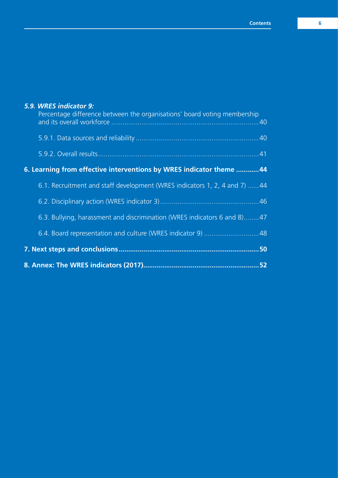#### *5.9. WRES indicator 9:*

| 6.3. Bullying, harassment and discrimination (WRES indicators 6 and 8)47  |  |
|---------------------------------------------------------------------------|--|
|                                                                           |  |
| 6.1. Recruitment and staff development (WRES indicators 1, 2, 4 and 7) 44 |  |
| 6. Learning from effective interventions by WRES indicator theme 44       |  |
|                                                                           |  |
|                                                                           |  |
| Percentage difference between the organisations' board voting membership  |  |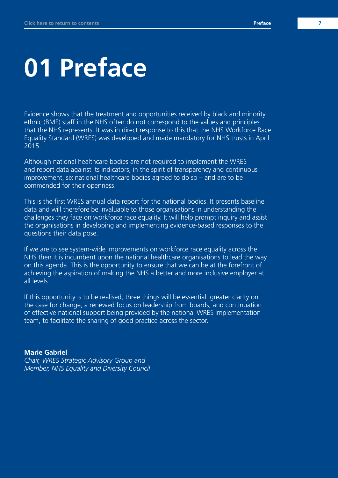# **01 Preface**

Evidence shows that the treatment and opportunities received by black and minority ethnic (BME) staff in the NHS often do not correspond to the values and principles that the NHS represents. It was in direct response to this that the NHS Workforce Race Equality Standard (WRES) was developed and made mandatory for NHS trusts in April 2015.

Although national healthcare bodies are not required to implement the WRES and report data against its indicators; in the spirit of transparency and continuous improvement, six national healthcare bodies agreed to do so – and are to be commended for their openness.

This is the first WRES annual data report for the national bodies. It presents baseline data and will therefore be invaluable to those organisations in understanding the challenges they face on workforce race equality. It will help prompt inquiry and assist the organisations in developing and implementing evidence-based responses to the questions their data pose.

If we are to see system-wide improvements on workforce race equality across the NHS then it is incumbent upon the national healthcare organisations to lead the way on this agenda. This is the opportunity to ensure that we can be at the forefront of achieving the aspiration of making the NHS a better and more inclusive employer at all levels.

If this opportunity is to be realised, three things will be essential: greater clarity on the case for change; a renewed focus on leadership from boards; and continuation of effective national support being provided by the national WRES Implementation team, to facilitate the sharing of good practice across the sector.

#### **Marie Gabriel**

*Chair, WRES Strategic Advisory Group and Member, NHS Equality and Diversity Council*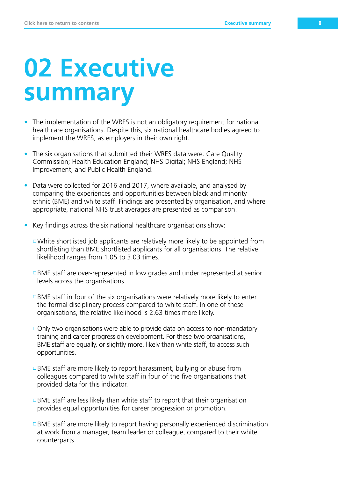# **02 Executive summary**

- The implementation of the WRES is not an obligatory requirement for national healthcare organisations. Despite this, six national healthcare bodies agreed to implement the WRES, as employers in their own right.
- The six organisations that submitted their WRES data were: Care Quality Commission; Health Education England; NHS Digital; NHS England; NHS Improvement, and Public Health England.
- Data were collected for 2016 and 2017, where available, and analysed by comparing the experiences and opportunities between black and minority ethnic (BME) and white staff. Findings are presented by organisation, and where appropriate, national NHS trust averages are presented as comparison.
- Key findings across the six national healthcare organisations show:
	- $\Box$ White shortlisted job applicants are relatively more likely to be appointed from shortlisting than BME shortlisted applicants for all organisations. The relative likelihood ranges from 1.05 to 3.03 times.
	- BME staff are over-represented in low grades and under represented at senior levels across the organisations.
	- $\Box$ BME staff in four of the six organisations were relatively more likely to enter the formal disciplinary process compared to white staff. In one of these organisations, the relative likelihood is 2.63 times more likely.
	- $\Box$  Only two organisations were able to provide data on access to non-mandatory training and career progression development. For these two organisations, BME staff are equally, or slightly more, likely than white staff, to access such opportunities.
	- $\Box$ BME staff are more likely to report harassment, bullying or abuse from colleagues compared to white staff in four of the five organisations that provided data for this indicator.
	- $\Box$ BME staff are less likely than white staff to report that their organisation provides equal opportunities for career progression or promotion.
	- $\Box$ BME staff are more likely to report having personally experienced discrimination at work from a manager, team leader or colleague, compared to their white counterparts.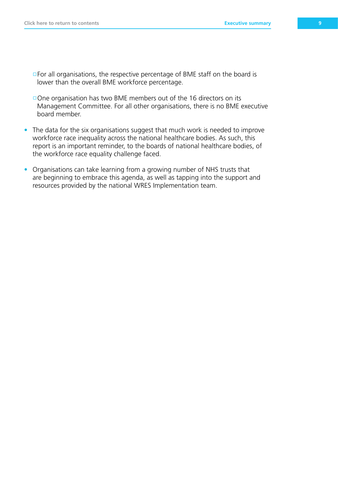- $\Box$  For all organisations, the respective percentage of BME staff on the board is lower than the overall BME workforce percentage.
- $\Box$  One organisation has two BME members out of the 16 directors on its Management Committee. For all other organisations, there is no BME executive board member.
- The data for the six organisations suggest that much work is needed to improve workforce race inequality across the national healthcare bodies. As such, this report is an important reminder, to the boards of national healthcare bodies, of the workforce race equality challenge faced.
- Organisations can take learning from a growing number of NHS trusts that are beginning to embrace this agenda, as well as tapping into the support and resources provided by the national WRES Implementation team.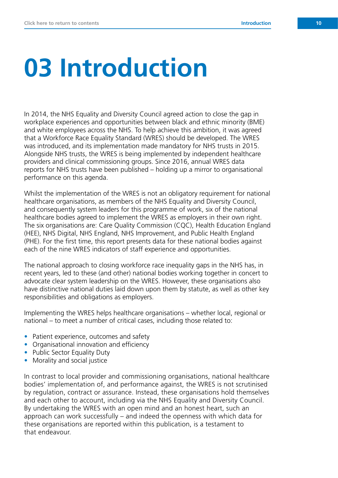# **03 Introduction**

In 2014, the NHS Equality and Diversity Council agreed action to close the gap in workplace experiences and opportunities between black and ethnic minority (BME) and white employees across the NHS. To help achieve this ambition, it was agreed that a Workforce Race Equality Standard (WRES) should be developed. The WRES was introduced, and its implementation made mandatory for NHS trusts in 2015. Alongside NHS trusts, the WRES is being implemented by independent healthcare providers and clinical commissioning groups. Since 2016, annual WRES data reports for NHS trusts have been published – holding up a mirror to organisational performance on this agenda.

Whilst the implementation of the WRES is not an obligatory requirement for national healthcare organisations, as members of the NHS Equality and Diversity Council, and consequently system leaders for this programme of work, six of the national healthcare bodies agreed to implement the WRES as employers in their own right. The six organisations are: Care Quality Commission (CQC), Health Education England (HEE), NHS Digital, NHS England, NHS Improvement, and Public Health England (PHE). For the first time, this report presents data for these national bodies against each of the nine WRES indicators of staff experience and opportunities.

The national approach to closing workforce race inequality gaps in the NHS has, in recent years, led to these (and other) national bodies working together in concert to advocate clear system leadership on the WRES. However, these organisations also have distinctive national duties laid down upon them by statute, as well as other key responsibilities and obligations as employers.

Implementing the WRES helps healthcare organisations – whether local, regional or national – to meet a number of critical cases, including those related to:

- Patient experience, outcomes and safety
- Organisational innovation and efficiency
- Public Sector Equality Duty
- Morality and social justice

In contrast to local provider and commissioning organisations, national healthcare bodies' implementation of, and performance against, the WRES is not scrutinised by regulation, contract or assurance. Instead, these organisations hold themselves and each other to account, including via the NHS Equality and Diversity Council. By undertaking the WRES with an open mind and an honest heart, such an approach can work successfully – and indeed the openness with which data for these organisations are reported within this publication, is a testament to that endeavour.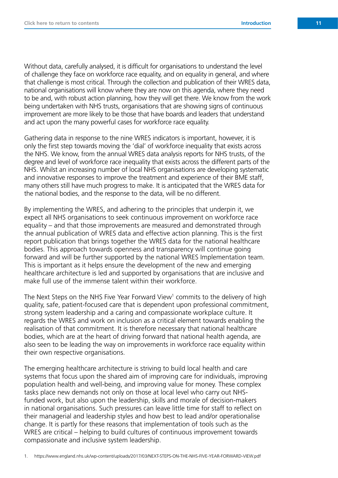Without data, carefully analysed, it is difficult for organisations to understand the level of challenge they face on workforce race equality, and on equality in general, and where that challenge is most critical. Through the collection and publication of their WRES data, national organisations will know where they are now on this agenda, where they need to be and, with robust action planning, how they will get there. We know from the work being undertaken with NHS trusts, organisations that are showing signs of continuous improvement are more likely to be those that have boards and leaders that understand and act upon the many powerful cases for workforce race equality.

Gathering data in response to the nine WRES indicators is important, however, it is only the first step towards moving the 'dial' of workforce inequality that exists across the NHS. We know, from the annual WRES data analysis reports for NHS trusts, of the degree and level of workforce race inequality that exists across the different parts of the NHS. Whilst an increasing number of local NHS organisations are developing systematic and innovative responses to improve the treatment and experience of their BME staff, many others still have much progress to make. It is anticipated that the WRES data for the national bodies, and the response to the data, will be no different.

By implementing the WRES, and adhering to the principles that underpin it, we expect all NHS organisations to seek continuous improvement on workforce race equality – and that those improvements are measured and demonstrated through the annual publication of WRES data and effective action planning. This is the first report publication that brings together the WRES data for the national healthcare bodies. This approach towards openness and transparency will continue going forward and will be further supported by the national WRES Implementation team. This is important as it helps ensure the development of the new and emerging healthcare architecture is led and supported by organisations that are inclusive and make full use of the immense talent within their workforce.

The Next Steps on the NHS Five Year Forward View<sup>1</sup> commits to the delivery of high quality, safe, patient-focused care that is dependent upon professional commitment, strong system leadership and a caring and compassionate workplace culture. It regards the WRES and work on inclusion as a critical element towards enabling the realisation of that commitment. It is therefore necessary that national healthcare bodies, which are at the heart of driving forward that national health agenda, are also seen to be leading the way on improvements in workforce race equality within their own respective organisations.

The emerging healthcare architecture is striving to build local health and care systems that focus upon the shared aim of improving care for individuals, improving population health and well-being, and improving value for money. These complex tasks place new demands not only on those at local level who carry out NHSfunded work, but also upon the leadership, skills and morale of decision-makers in national organisations. Such pressures can leave little time for staff to reflect on their managerial and leadership styles and how best to lead and/or operationalise change. It is partly for these reasons that implementation of tools such as the WRES are critical – helping to build cultures of continuous improvement towards compassionate and inclusive system leadership.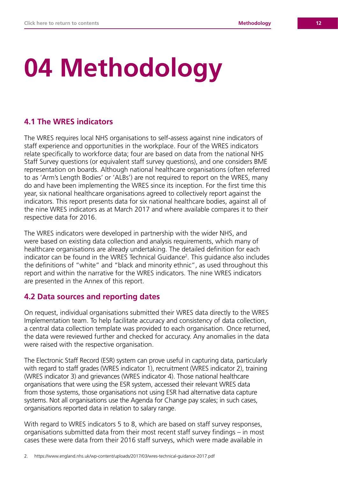# **04 Methodology**

#### **4.1 The WRES indicators**

The WRES requires local NHS organisations to self-assess against nine indicators of staff experience and opportunities in the workplace. Four of the WRES indicators relate specifically to workforce data; four are based on data from the national NHS Staff Survey questions (or equivalent staff survey questions), and one considers BME representation on boards. Although national healthcare organisations (often referred to as 'Arm's Length Bodies' or 'ALBs') are not required to report on the WRES, many do and have been implementing the WRES since its inception. For the first time this year, six national healthcare organisations agreed to collectively report against the indicators. This report presents data for six national healthcare bodies, against all of the nine WRES indicators as at March 2017 and where available compares it to their respective data for 2016.

The WRES indicators were developed in partnership with the wider NHS, and were based on existing data collection and analysis requirements, which many of healthcare organisations are already undertaking. The detailed definition for each indicator can be found in the WRES Technical Guidance<sup>2</sup>. This guidance also includes the definitions of "white" and "black and minority ethnic", as used throughout this report and within the narrative for the WRES indicators. The nine WRES indicators are presented in the Annex of this report.

#### **4.2 Data sources and reporting dates**

On request, individual organisations submitted their WRES data directly to the WRES Implementation team. To help facilitate accuracy and consistency of data collection, a central data collection template was provided to each organisation. Once returned, the data were reviewed further and checked for accuracy. Any anomalies in the data were raised with the respective organisation.

The Electronic Staff Record (ESR) system can prove useful in capturing data, particularly with regard to staff grades (WRES indicator 1), recruitment (WRES indicator 2), training (WRES indicator 3) and grievances (WRES indicator 4). Those national healthcare organisations that were using the ESR system, accessed their relevant WRES data from those systems, those organisations not using ESR had alternative data capture systems. Not all organisations use the Agenda for Change pay scales; in such cases, organisations reported data in relation to salary range.

With regard to WRES indicators 5 to 8, which are based on staff survey responses, organisations submitted data from their most recent staff survey findings – in most cases these were data from their 2016 staff surveys, which were made available in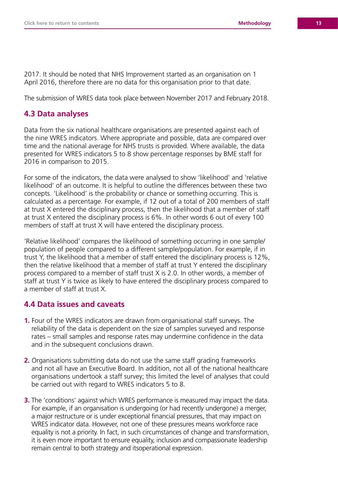2017. It should be noted that NHS Improvement started as an organisation on 1 April 2016, therefore there are no data for this organisation prior to that date.

The submission of WRES data took place between November 2017 and February 2018.

#### **4.3 Data analyses**

Data from the six national healthcare organisations are presented against each of the nine WRES indicators. Where appropriate and possible, data are compared over time and the national average for NHS trusts is provided. Where available, the data presented for WRES indicators 5 to 8 show percentage responses by BME staff for 2016 in comparison to 2015.

For some of the indicators, the data were analysed to show 'likelihood' and 'relative likelihood' of an outcome. It is helpful to outline the differences between these two concepts. 'Likelihood' is the probability or chance or something occurring. This is calculated as a percentage. For example, if 12 out of a total of 200 members of staff at trust X entered the disciplinary process, then the likelihood that a member of staff at trust X entered the disciplinary process is 6%. In other words 6 out of every 100 members of staff at trust X will have entered the disciplinary process.

'Relative likelihood' compares the likelihood of something occurring in one sample/ population of people compared to a different sample/population. For example, if in trust Y, the likelihood that a member of staff entered the disciplinary process is 12%, then the relative likelihood that a member of staff at trust Y entered the disciplinary process compared to a member of staff trust X is 2.0. In other words, a member of staff at trust Y is twice as likely to have entered the disciplinary process compared to a member of staff at trust X.

#### **4.4 Data issues and caveats**

- **1.** Four of the WRES indicators are drawn from organisational staff surveys. The reliability of the data is dependent on the size of samples surveyed and response rates – small samples and response rates may undermine confidence in the data and in the subsequent conclusions drawn.
- **2.** Organisations submitting data do not use the same staff grading frameworks and not all have an Executive Board. In addition, not all of the national healthcare organisations undertook a staff survey; this limited the level of analyses that could be carried out with regard to WRES indicators 5 to 8.
- **3.** The 'conditions' against which WRES performance is measured may impact the data. For example, if an organisation is undergoing (or had recently undergone) a merger, a major restructure or is under exceptional financial pressures, that may impact on WRES indicator data. However, not one of these pressures means workforce race equality is not a priority. In fact, in such circumstances of change and transformation, it is even more important to ensure equality, inclusion and compassionate leadership remain central to both strategy and itsoperational expression.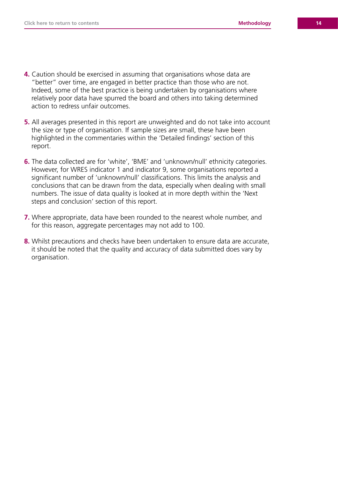- **4.** Caution should be exercised in assuming that organisations whose data are "better" over time, are engaged in better practice than those who are not. Indeed, some of the best practice is being undertaken by organisations where relatively poor data have spurred the board and others into taking determined action to redress unfair outcomes.
- **5.** All averages presented in this report are unweighted and do not take into account the size or type of organisation. If sample sizes are small, these have been highlighted in the commentaries within the 'Detailed findings' section of this report.
- **6.** The data collected are for 'white', 'BME' and 'unknown/null' ethnicity categories. However, for WRES indicator 1 and indicator 9, some organisations reported a significant number of 'unknown/null' classifications. This limits the analysis and conclusions that can be drawn from the data, especially when dealing with small numbers. The issue of data quality is looked at in more depth within the 'Next steps and conclusion' section of this report.
- **7.** Where appropriate, data have been rounded to the nearest whole number, and for this reason, aggregate percentages may not add to 100.
- **8.** Whilst precautions and checks have been undertaken to ensure data are accurate, it should be noted that the quality and accuracy of data submitted does vary by organisation.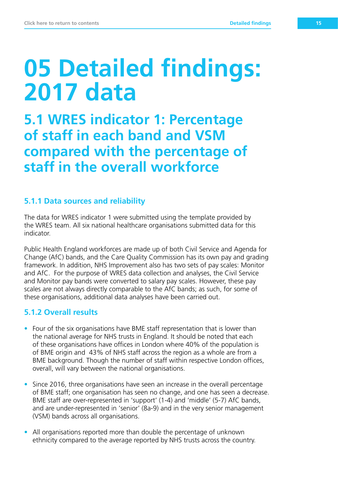## **05 Detailed findings: 2017 data**

**5.1 WRES indicator 1: Percentage of staff in each band and VSM compared with the percentage of staff in the overall workforce**

#### **5.1.1 Data sources and reliability**

The data for WRES indicator 1 were submitted using the template provided by the WRES team. All six national healthcare organisations submitted data for this indicator.

Public Health England workforces are made up of both Civil Service and Agenda for Change (AfC) bands, and the Care Quality Commission has its own pay and grading framework. In addition, NHS Improvement also has two sets of pay scales: Monitor and AfC. For the purpose of WRES data collection and analyses, the Civil Service and Monitor pay bands were converted to salary pay scales. However, these pay scales are not always directly comparable to the AfC bands; as such, for some of these organisations, additional data analyses have been carried out.

#### **5.1.2 Overall results**

- Four of the six organisations have BME staff representation that is lower than the national average for NHS trusts in England. It should be noted that each of these organisations have offices in London where 40% of the population is of BME origin and 43% of NHS staff across the region as a whole are from a BME background. Though the number of staff within respective London offices, overall, will vary between the national organisations.
- Since 2016, three organisations have seen an increase in the overall percentage of BME staff; one organisation has seen no change, and one has seen a decrease. BME staff are over-represented in 'support' (1-4) and 'middle' (5-7) AfC bands, and are under-represented in 'senior' (8a-9) and in the very senior management (VSM) bands across all organisations.
- All organisations reported more than double the percentage of unknown ethnicity compared to the average reported by NHS trusts across the country.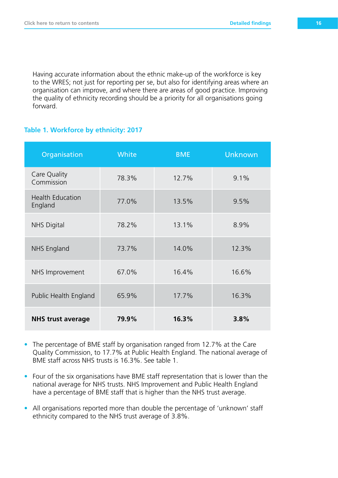Having accurate information about the ethnic make-up of the workforce is key to the WRES; not just for reporting per se, but also for identifying areas where an organisation can improve, and where there are areas of good practice. Improving the quality of ethnicity recording should be a priority for all organisations going forward.

#### **Table 1. Workforce by ethnicity: 2017**

| Organisation                       | White | <b>BME</b> | <b>Unknown</b> |
|------------------------------------|-------|------------|----------------|
| Care Quality<br>Commission         | 78.3% | 12.7%      | 9.1%           |
| <b>Health Education</b><br>England | 77.0% | 13.5%      | 9.5%           |
| <b>NHS Digital</b>                 | 78.2% | 13.1%      | 8.9%           |
| NHS England                        | 73.7% | 14.0%      | 12.3%          |
| NHS Improvement                    | 67.0% | 16.4%      | 16.6%          |
| Public Health England              | 65.9% | 17.7%      | 16.3%          |
| <b>NHS trust average</b>           | 79.9% | 16.3%      | 3.8%           |

- The percentage of BME staff by organisation ranged from 12.7% at the Care Quality Commission, to 17.7% at Public Health England. The national average of BME staff across NHS trusts is 16.3%. See table 1.
- Four of the six organisations have BME staff representation that is lower than the national average for NHS trusts. NHS Improvement and Public Health England have a percentage of BME staff that is higher than the NHS trust average.
- All organisations reported more than double the percentage of 'unknown' staff ethnicity compared to the NHS trust average of 3.8%.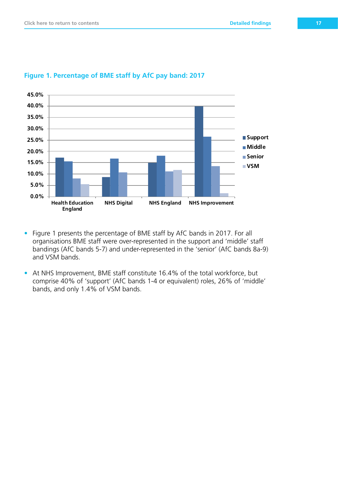

#### **Figure 1. Percentage of BME staff by AfC pay band: 2017**

- Figure 1 presents the percentage of BME staff by AfC bands in 2017. For all organisations BME staff were over-represented in the support and 'middle' staff bandings (AfC bands 5-7) and under-represented in the 'senior' (AfC bands 8a-9) and VSM bands.
- At NHS Improvement, BME staff constitute 16.4% of the total workforce, but comprise 40% of 'support' (AfC bands 1-4 or equivalent) roles, 26% of 'middle' bands, and only 1.4% of VSM bands.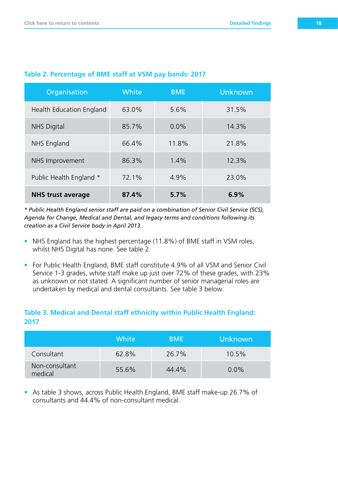| Organisation             | White | <b>BME</b> | <b>Unknown</b> |
|--------------------------|-------|------------|----------------|
| Health Education England | 63.0% | 5.6%       | 31.5%          |
| <b>NHS Digital</b>       | 85.7% | $0.0\%$    | 14.3%          |
| NHS England              | 66.4% | 11.8%      | 21.8%          |
| NHS Improvement          | 86.3% | 1.4%       | 12.3%          |
| Public Health England *  | 72.1% | 4.9%       | 23.0%          |
| <b>NHS trust average</b> | 87.4% | 5.7%       | 6.9%           |

#### **Table 2. Percentage of BME staff at VSM pay bands: 2017**

*\* Public Health England senior staff are paid on a combination of Senior Civil Service (SCS), Agenda for Change, Medical and Dental, and legacy terms and conditions following its creation as a Civil Service body in April 2013.*

- NHS England has the highest percentage (11.8%) of BME staff in VSM roles, whilst NHS Digital has none. See table 2.
- For Public Health England, BME staff constitute 4.9% of all VSM and Senior Civil Service 1-3 grades, white staff make up just over 72% of these grades, with 23% as unknown or not stated. A significant number of senior managerial roles are undertaken by medical and dental consultants. See table 3 below.

#### **Table 3. Medical and Dental staff ethnicity within Public Health England: 2017**

|                           | White | <b>BME</b> | Unknown |
|---------------------------|-------|------------|---------|
| Consultant                | 62.8% | 26.7%      | 10.5%   |
| Non-consultant<br>medical | 55.6% | 44.4%      | $0.0\%$ |

• As table 3 shows, across Public Health England, BME staff make-up 26.7% of consultants and 44.4% of non-consultant medical.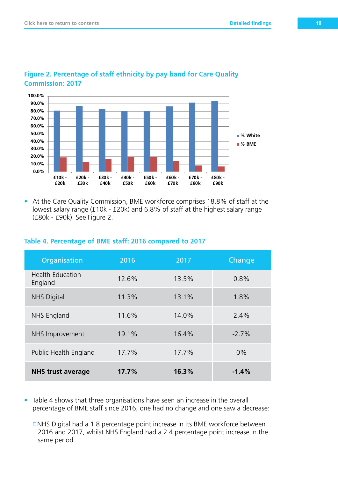

#### **Figure 2. Percentage of staff ethnicity by pay band for Care Quality Commission: 2017 Percentage CQC staff by pay bands 2017**

• At the Care Quality Commission, BME workforce comprises 18.8% of staff at the lowest salary range (£10k - £20k) and 6.8% of staff at the highest salary range (£80k - £90k). See Figure 2.

#### **Table 4. Percentage of BME staff: 2016 compared to 2017**

| Organisation                       | 2016  | 2017  | Change  |
|------------------------------------|-------|-------|---------|
| <b>Health Education</b><br>England | 12.6% | 13.5% | 0.8%    |
| <b>NHS Digital</b>                 | 11.3% | 13.1% | 1.8%    |
| <b>NHS England</b>                 | 11.6% | 14.0% | 2.4%    |
| NHS Improvement                    | 19.1% | 16.4% | $-2.7%$ |
| Public Health England              | 17.7% | 17.7% | $0\%$   |
| <b>NHS trust average</b>           | 17.7% | 16.3% | $-1.4%$ |

- Table 4 shows that three organisations have seen an increase in the overall percentage of BME staff since 2016, one had no change and one saw a decrease:
	- $\Box$ NHS Digital had a 1.8 percentage point increase in its BME workforce between 2016 and 2017, whilst NHS England had a 2.4 percentage point increase in the same period.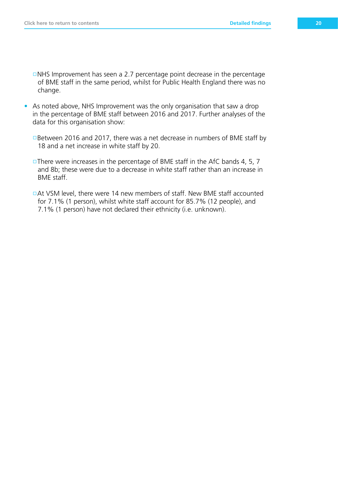$\Box$ NHS Improvement has seen a 2.7 percentage point decrease in the percentage of BME staff in the same period, whilst for Public Health England there was no change.

- As noted above, NHS Improvement was the only organisation that saw a drop in the percentage of BME staff between 2016 and 2017. Further analyses of the data for this organisation show:
	- □Between 2016 and 2017, there was a net decrease in numbers of BME staff by 18 and a net increase in white staff by 20.
	- $\Box$ There were increases in the percentage of BME staff in the AfC bands 4, 5, 7 and 8b; these were due to a decrease in white staff rather than an increase in BME staff.
	- □ At VSM level, there were 14 new members of staff. New BME staff accounted for 7.1% (1 person), whilst white staff account for 85.7% (12 people), and 7.1% (1 person) have not declared their ethnicity (i.e. unknown).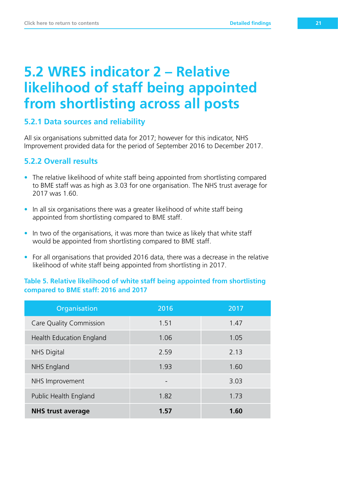## **5.2 WRES indicator 2 – Relative likelihood of staff being appointed from shortlisting across all posts**

#### **5.2.1 Data sources and reliability**

All six organisations submitted data for 2017; however for this indicator, NHS Improvement provided data for the period of September 2016 to December 2017.

#### **5.2.2 Overall results**

- The relative likelihood of white staff being appointed from shortlisting compared to BME staff was as high as 3.03 for one organisation. The NHS trust average for 2017 was 1.60.
- In all six organisations there was a greater likelihood of white staff being appointed from shortlisting compared to BME staff.
- In two of the organisations, it was more than twice as likely that white staff would be appointed from shortlisting compared to BME staff.
- For all organisations that provided 2016 data, there was a decrease in the relative likelihood of white staff being appointed from shortlisting in 2017.

#### **Table 5. Relative likelihood of white staff being appointed from shortlisting compared to BME staff: 2016 and 2017**

| Organisation                   | 2016 | 2017 |
|--------------------------------|------|------|
| <b>Care Quality Commission</b> | 1.51 | 1.47 |
| Health Education England       | 1.06 | 1.05 |
| <b>NHS Digital</b>             | 2.59 | 2.13 |
| NHS England                    | 1.93 | 1.60 |
| NHS Improvement                |      | 3.03 |
| Public Health England          | 1.82 | 1.73 |
| <b>NHS trust average</b>       | 1.57 | 1.60 |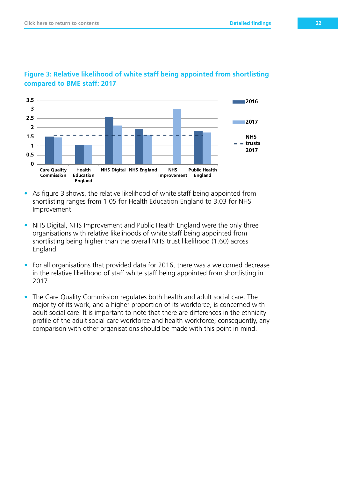

#### **Figure 3: Relative likelihood of white staff being appointed from shortlisting** *Compared to BME staff: 2017* **Analysis of**  $\overline{a}$  **and**  $\overline{b}$  **and**  $\overline{a}$  **and**  $\overline{a}$  **and**  $\overline{a}$  **and**  $\overline{a}$  **and**  $\overline{a}$  **and**  $\overline{a}$  **and**  $\overline{a}$  **and**  $\overline{a}$  **and**  $\overline{a}$  **and**  $\overline{a}$  **and**  $\overline{a}$  **and**  $\overline{a}$  **a**

- As figure 3 shows, the relative likelihood of white staff being appointed from shortlisting ranges from 1.05 for Health Education England to 3.03 for NHS Improvement.
- NHS Digital, NHS Improvement and Public Health England were the only three organisations with relative likelihoods of white staff being appointed from shortlisting being higher than the overall NHS trust likelihood (1.60) across England.
- For all organisations that provided data for 2016, there was a welcomed decrease in the relative likelihood of staff white staff being appointed from shortlisting in 2017.
- The Care Quality Commission regulates both health and adult social care. The majority of its work, and a higher proportion of its workforce, is concerned with adult social care. It is important to note that there are differences in the ethnicity profile of the adult social care workforce and health workforce; consequently, any comparison with other organisations should be made with this point in mind.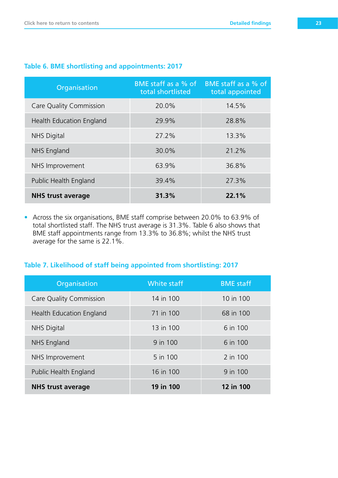| Organisation             | <b>BME</b> staff as a % of<br>total shortlisted | BME staff as a % of<br>total appointed |
|--------------------------|-------------------------------------------------|----------------------------------------|
| Care Quality Commission  | 20.0%                                           | 14.5%                                  |
| Health Education England | 29.9%                                           | 28.8%                                  |
| <b>NHS Digital</b>       | 27.2%                                           | 13.3%                                  |
| <b>NHS England</b>       | 30.0%                                           | 21.2%                                  |
| NHS Improvement          | 63.9%                                           | 36.8%                                  |
| Public Health England    | 39.4%                                           | 27.3%                                  |
| <b>NHS trust average</b> | 31.3%                                           | 22.1%                                  |

#### **Table 6. BME shortlisting and appointments: 2017**

• Across the six organisations, BME staff comprise between 20.0% to 63.9% of total shortlisted staff. The NHS trust average is 31.3%. Table 6 also shows that BME staff appointments range from 13.3% to 36.8%; whilst the NHS trust average for the same is 22.1%.

#### **Table 7. Likelihood of staff being appointed from shortlisting: 2017**

| Organisation             | White staff | <b>BME</b> staff |
|--------------------------|-------------|------------------|
| Care Quality Commission  | 14 in 100   | 10 in 100        |
| Health Education England | 71 in 100   | 68 in 100        |
| <b>NHS Digital</b>       | 13 in 100   | 6 in 100         |
| NHS England              | 9 in 100    | 6 in 100         |
| NHS Improvement          | 5 in 100    | 2 in 100         |
| Public Health England    | 16 in 100   | 9 in 100         |
| <b>NHS trust average</b> | 19 in 100   | 12 in 100        |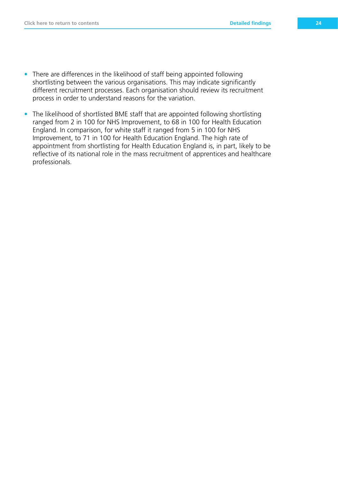- There are differences in the likelihood of staff being appointed following shortlisting between the various organisations. This may indicate significantly different recruitment processes. Each organisation should review its recruitment process in order to understand reasons for the variation.
- The likelihood of shortlisted BME staff that are appointed following shortlisting ranged from 2 in 100 for NHS Improvement, to 68 in 100 for Health Education England. In comparison, for white staff it ranged from 5 in 100 for NHS Improvement, to 71 in 100 for Health Education England. The high rate of appointment from shortlisting for Health Education England is, in part, likely to be reflective of its national role in the mass recruitment of apprentices and healthcare professionals.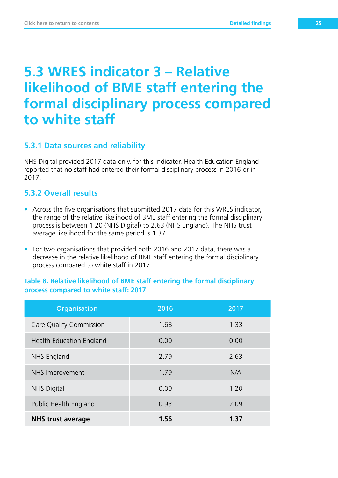## **5.3 WRES indicator 3 – Relative likelihood of BME staff entering the formal disciplinary process compared to white staff**

#### **5.3.1 Data sources and reliability**

NHS Digital provided 2017 data only, for this indicator. Health Education England reported that no staff had entered their formal disciplinary process in 2016 or in 2017.

#### **5.3.2 Overall results**

- Across the five organisations that submitted 2017 data for this WRES indicator, the range of the relative likelihood of BME staff entering the formal disciplinary process is between 1.20 (NHS Digital) to 2.63 (NHS England). The NHS trust average likelihood for the same period is 1.37.
- For two organisations that provided both 2016 and 2017 data, there was a decrease in the relative likelihood of BME staff entering the formal disciplinary process compared to white staff in 2017.

#### **Table 8. Relative likelihood of BME staff entering the formal disciplinary process compared to white staff: 2017**

| Organisation             | 2016 | 2017 |
|--------------------------|------|------|
| Care Quality Commission  | 1.68 | 1.33 |
| Health Education England | 0.00 | 0.00 |
| NHS England              | 2.79 | 2.63 |
| NHS Improvement          | 1.79 | N/A  |
| <b>NHS Digital</b>       | 0.00 | 1.20 |
| Public Health England    | 0.93 | 2.09 |
| <b>NHS trust average</b> | 1.56 | 1.37 |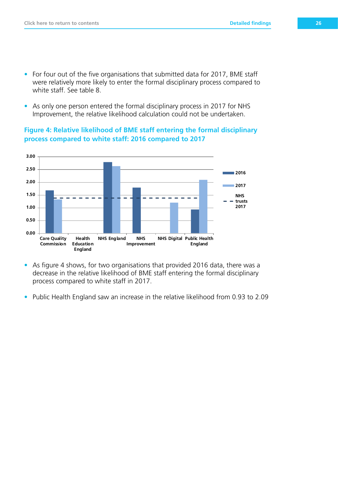- For four out of the five organisations that submitted data for 2017, BME staff were relatively more likely to enter the formal disciplinary process compared to white staff. See table 8.
- As only one person entered the formal disciplinary process in 2017 for NHS Improvement, the relative likelihood calculation could not be undertaken.

**Figure 4: Relative likelihood of BME staff entering the formal disciplinary process compared to white staff: 2016 compared to 2017** 



- As figure 4 shows, for two organisations that provided 2016 data, there was a decrease in the relative likelihood of BME staff entering the formal disciplinary process compared to white staff in 2017.
- Public Health England saw an increase in the relative likelihood from 0.93 to 2.09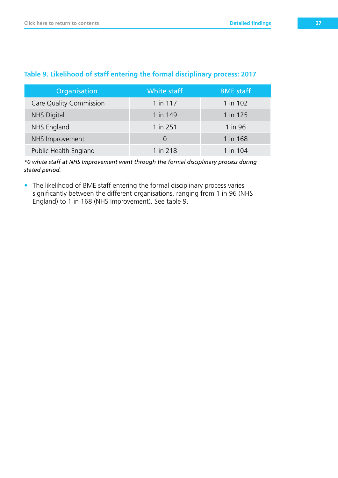| Organisation            | <b>White staff</b> | <b>BME</b> staff |
|-------------------------|--------------------|------------------|
| Care Quality Commission | 1 in 117           | 1 in 102         |
| <b>NHS Digital</b>      | 1 in 149           | 1 in 125         |
| NHS England             | 1 in 251           | 1 in 96          |
| NHS Improvement         | $\Omega$           | 1 in 168         |
| Public Health England   | 1 in 218           | 1 in 104         |

#### **Table 9. Likelihood of staff entering the formal disciplinary process: 2017**

*\*0 white staff at NHS Improvement went through the formal disciplinary process during stated period.*

• The likelihood of BME staff entering the formal disciplinary process varies significantly between the different organisations, ranging from 1 in 96 (NHS England) to 1 in 168 (NHS Improvement). See table 9.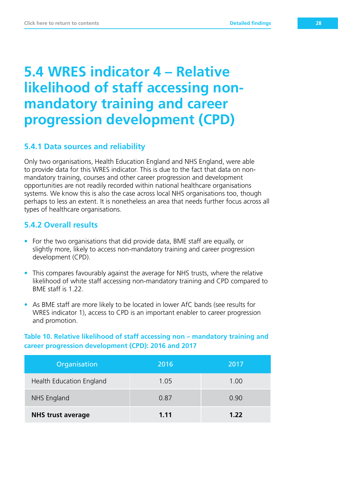## **5.4 WRES indicator 4 – Relative likelihood of staff accessing nonmandatory training and career progression development (CPD)**

#### **5.4.1 Data sources and reliability**

Only two organisations, Health Education England and NHS England, were able to provide data for this WRES indicator. This is due to the fact that data on nonmandatory training, courses and other career progression and development opportunities are not readily recorded within national healthcare organisations systems. We know this is also the case across local NHS organisations too, though perhaps to less an extent. It is nonetheless an area that needs further focus across all types of healthcare organisations.

#### **5.4.2 Overall results**

- For the two organisations that did provide data, BME staff are equally, or slightly more, likely to access non-mandatory training and career progression development (CPD).
- This compares favourably against the average for NHS trusts, where the relative likelihood of white staff accessing non-mandatory training and CPD compared to BME staff is 1.22.
- As BME staff are more likely to be located in lower AfC bands (see results for WRES indicator 1), access to CPD is an important enabler to career progression and promotion.

**Table 10. Relative likelihood of staff accessing non – mandatory training and career progression development (CPD): 2016 and 2017**

| Organisation             | 2016 | 2017 |
|--------------------------|------|------|
| Health Education England | 1.05 | 1.00 |
| NHS England              | 0.87 | 0.90 |
| <b>NHS trust average</b> | 1.11 | 1.22 |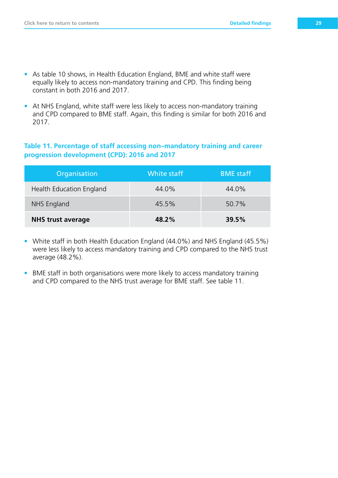- As table 10 shows, in Health Education England, BME and white staff were equally likely to access non-mandatory training and CPD. This finding being constant in both 2016 and 2017.
- At NHS England, white staff were less likely to access non-mandatory training and CPD compared to BME staff. Again, this finding is similar for both 2016 and 2017.

#### **Table 11. Percentage of staff accessing non–mandatory training and career progression development (CPD): 2016 and 2017**

| Organisation             | White staff | <b>BME</b> staff |
|--------------------------|-------------|------------------|
| Health Education England | 44.0%       | 44.0%            |
| NHS England              | 45.5%       | 50.7%            |
| <b>NHS trust average</b> | 48.2%       | 39.5%            |

- White staff in both Health Education England (44.0%) and NHS England (45.5%) were less likely to access mandatory training and CPD compared to the NHS trust average (48.2%).
- BME staff in both organisations were more likely to access mandatory training and CPD compared to the NHS trust average for BME staff. See table 11.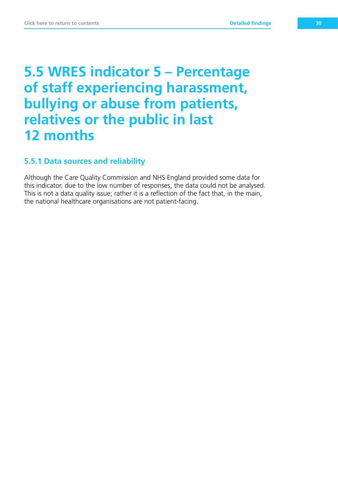## **5.5 WRES indicator 5 – Percentage of staff experiencing harassment, bullying or abuse from patients, relatives or the public in last 12 months**

#### **5.5.1 Data sources and reliability**

Although the Care Quality Commission and NHS England provided some data for this indicator, due to the low number of responses, the data could not be analysed. This is not a data quality issue; rather it is a reflection of the fact that, in the main, the national healthcare organisations are not patient-facing.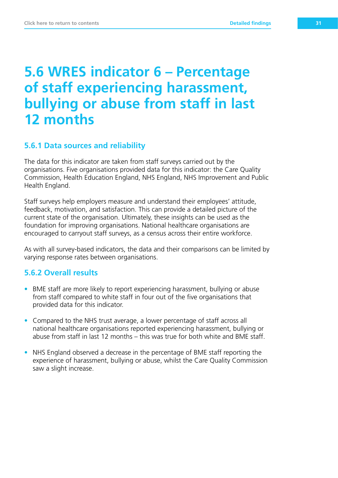## **5.6 WRES indicator 6 – Percentage of staff experiencing harassment, bullying or abuse from staff in last 12 months**

#### **5.6.1 Data sources and reliability**

The data for this indicator are taken from staff surveys carried out by the organisations. Five organisations provided data for this indicator: the Care Quality Commission, Health Education England, NHS England, NHS Improvement and Public Health England.

Staff surveys help employers measure and understand their employees' attitude, feedback, motivation, and satisfaction. This can provide a detailed picture of the current state of the organisation. Ultimately, these insights can be used as the foundation for improving organisations. National healthcare organisations are encouraged to carryout staff surveys, as a census across their entire workforce.

As with all survey-based indicators, the data and their comparisons can be limited by varying response rates between organisations.

#### **5.6.2 Overall results**

- BME staff are more likely to report experiencing harassment, bullying or abuse from staff compared to white staff in four out of the five organisations that provided data for this indicator.
- Compared to the NHS trust average, a lower percentage of staff across all national healthcare organisations reported experiencing harassment, bullying or abuse from staff in last 12 months – this was true for both white and BME staff.
- NHS England observed a decrease in the percentage of BME staff reporting the experience of harassment, bullying or abuse, whilst the Care Quality Commission saw a slight increase.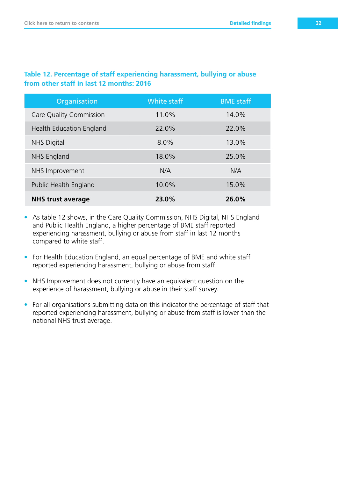#### **Table 12. Percentage of staff experiencing harassment, bullying or abuse from other staff in last 12 months: 2016**

| Organisation             | <b>White staff</b> | <b>BME</b> staff |
|--------------------------|--------------------|------------------|
| Care Quality Commission  | 11.0%              | 14.0%            |
| Health Education England | 22.0%              | 22.0%            |
| <b>NHS Digital</b>       | 8.0%               | 13.0%            |
| NHS England              | 18.0%              | 25.0%            |
| NHS Improvement          | N/A                | N/A              |
| Public Health England    | 10.0%              | 15.0%            |
| <b>NHS trust average</b> | 23.0%              | 26.0%            |

- As table 12 shows, in the Care Quality Commission, NHS Digital, NHS England and Public Health England, a higher percentage of BME staff reported experiencing harassment, bullying or abuse from staff in last 12 months compared to white staff.
- For Health Education England, an equal percentage of BME and white staff reported experiencing harassment, bullying or abuse from staff.
- NHS Improvement does not currently have an equivalent question on the experience of harassment, bullying or abuse in their staff survey.
- For all organisations submitting data on this indicator the percentage of staff that reported experiencing harassment, bullying or abuse from staff is lower than the national NHS trust average.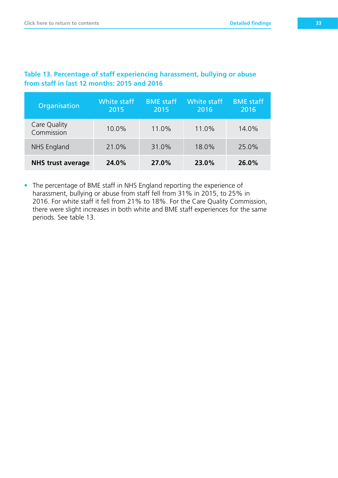| Organisation               | White staff<br>2015 | <b>BME</b> staff<br>2015 | <b>White staff</b><br>2016 | <b>BME</b> staff<br>2016 |
|----------------------------|---------------------|--------------------------|----------------------------|--------------------------|
| Care Quality<br>Commission | 10.0%               | 11.0%                    | 11.0%                      | 14.0%                    |
| NHS England                | 21.0%               | 31.0%                    | 18.0%                      | 25.0%                    |
| <b>NHS trust average</b>   | 24.0%               | 27.0%                    | 23.0%                      | 26.0%                    |

#### **Table 13. Percentage of staff experiencing harassment, bullying or abuse**   $f$ rom staff in last 12 months:  $2015$

• The percentage of BME staff in NHS England reporting the experience of harassment, bullying or abuse from staff fell from 31% in 2015, to 25% in 2016. For white staff it fell from 21% to 18%. For the Care Quality Commission, there were slight increases in both white and BME staff experiences for the same periods. See table 13.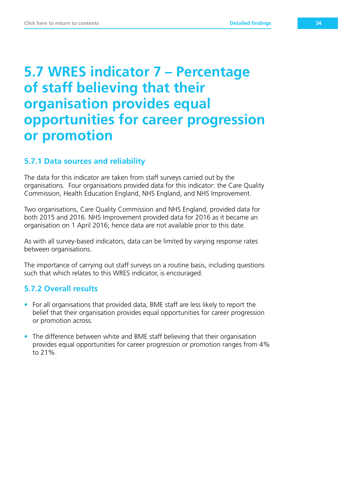## **5.7 WRES indicator 7 – Percentage of staff believing that their organisation provides equal opportunities for career progression or promotion**

#### **5.7.1 Data sources and reliability**

The data for this indicator are taken from staff surveys carried out by the organisations. Four organisations provided data for this indicator: the Care Quality Commission, Health Education England, NHS England, and NHS Improvement.

Two organisations, Care Quality Commission and NHS England, provided data for both 2015 and 2016. NHS Improvement provided data for 2016 as it became an organisation on 1 April 2016; hence data are not available prior to this date.

As with all survey-based indicators, data can be limited by varying response rates between organisations.

The importance of carrying out staff surveys on a routine basis, including questions such that which relates to this WRES indicator, is encouraged.

#### **5.7.2 Overall results**

- For all organisations that provided data, BME staff are less likely to report the belief that their organisation provides equal opportunities for career progression or promotion across.
- The difference between white and BME staff believing that their organisation provides equal opportunities for career progression or promotion ranges from 4% to 21%.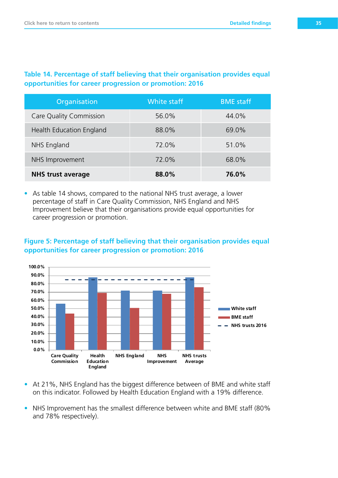#### **Table 14. Percentage of staff believing that their organisation provides equal opportunities for career progression or promotion: 2016**

| Organisation             | <b>White staff</b> | <b>BME</b> staff |
|--------------------------|--------------------|------------------|
| Care Quality Commission  | 56.0%              | 44.0%            |
| Health Education England | 88.0%              | 69.0%            |
| NHS England              | 72.0%              | 51.0%            |
| NHS Improvement          | 72.0%              | 68.0%            |
| <b>NHS trust average</b> | 88.0%              | 76.0%            |

• As table 14 shows, compared to the national NHS trust average, a lower percentage of staff in Care Quality Commission, NHS England and NHS Improvement believe that their organisations provide equal opportunities for career progression or promotion.

#### **Figure 5: Percentage of staff believing that their organisation provides equal opportunities for career progression or promotion: 2016**



- At 21%, NHS England has the biggest difference between of BME and white staff on this indicator. Followed by Health Education England with a 19% difference.
- NHS Improvement has the smallest difference between white and BME staff (80% and 78% respectively).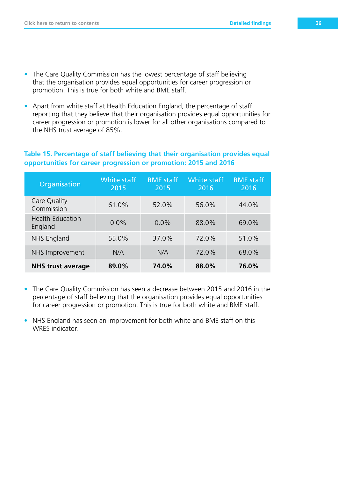• Apart from white staff at Health Education England, the percentage of staff reporting that they believe that their organisation provides equal opportunities for career progression or promotion is lower for all other organisations compared to the NHS trust average of 85%.

#### **Table 15. Percentage of staff believing that their organisation provides equal opportunities for career progression or promotion: 2015 and 2016**

| Organisation                       | White staff<br>2015 | <b>BME</b> staff<br>2015 | White staff<br>2016 | <b>BME</b> staff<br>2016 |
|------------------------------------|---------------------|--------------------------|---------------------|--------------------------|
| Care Quality<br>Commission         | 61.0%               | 52.0%                    | 56.0%               | 44.0%                    |
| <b>Health Education</b><br>England | 0.0%                | $0.0\%$                  | 88.0%               | 69.0%                    |
| NHS England                        | 55.0%               | 37.0%                    | 72.0%               | 51.0%                    |
| NHS Improvement                    | N/A                 | N/A                      | 72.0%               | 68.0%                    |
| <b>NHS trust average</b>           | 89.0%               | 74.0%                    | 88.0%               | 76.0%                    |

- The Care Quality Commission has seen a decrease between 2015 and 2016 in the percentage of staff believing that the organisation provides equal opportunities for career progression or promotion. This is true for both white and BME staff.
- NHS England has seen an improvement for both white and BME staff on this WRES indicator.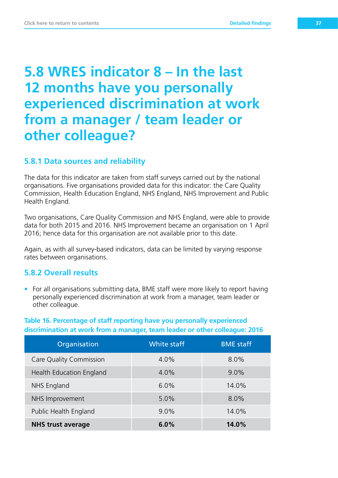## **5.8 WRES indicator 8 – In the last 12 months have you personally experienced discrimination at work from a manager / team leader or other colleague?**

#### **5.8.1 Data sources and reliability**

The data for this indicator are taken from staff surveys carried out by the national organisations. Five organisations provided data for this indicator: the Care Quality Commission, Health Education England, NHS England, NHS Improvement and Public Health England.

Two organisations, Care Quality Commission and NHS England, were able to provide data for both 2015 and 2016. NHS Improvement became an organisation on 1 April 2016; hence data for this organisation are not available prior to this date.

Again, as with all survey-based indicators, data can be limited by varying response rates between organisations.

#### **5.8.2 Overall results**

• For all organisations submitting data, BME staff were more likely to report having personally experienced discrimination at work from a manager, team leader or other colleague.

#### **Table 16. Percentage of staff reporting have you personally experienced discrimination at work from a manager, team leader or other colleague: 2016**

| Organisation                   | White staff | <b>BME</b> staff |
|--------------------------------|-------------|------------------|
| <b>Care Quality Commission</b> | 4.0%        | 8.0%             |
| Health Education England       | 4.0%        | $9.0\%$          |
| NHS England                    | 6.0%        | 14.0%            |
| NHS Improvement                | 5.0%        | 8.0%             |
| Public Health England          | $9.0\%$     | 14.0%            |
| <b>NHS trust average</b>       | 6.0%        | 14.0%            |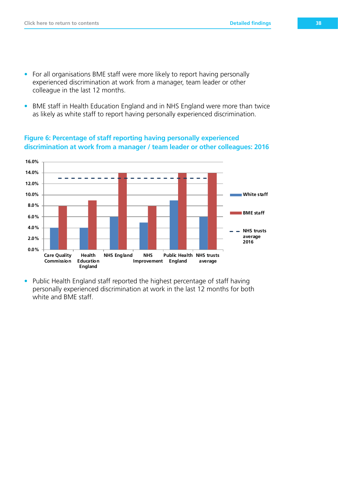- For all organisations BME staff were more likely to report having personally experienced discrimination at work from a manager, team leader or other colleague in the last 12 months.
- BME staff in Health Education England and in NHS England were more than twice as likely as white staff to report having personally experienced discrimination.



**Figure 6: Percentage of staff reporting having personally experienced discrimination at work from a manager / team leader or other colleagues: 2016**

• Public Health England staff reported the highest percentage of staff having personally experienced discrimination at work in the last 12 months for both white and BME staff.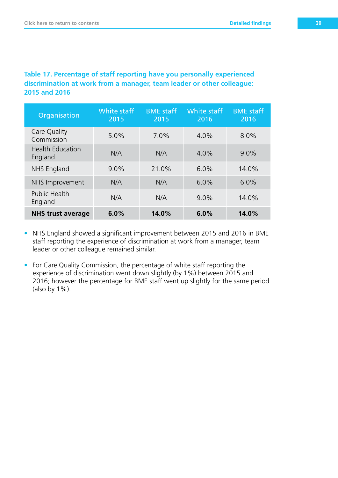#### **Table 17. Percentage of staff reporting have you personally experienced discrimination at work from a manager, team leader or other colleague: 2015 and 2016**

| Organisation                       | White staff<br>2015 | <b>BME</b> staff<br>2015 | White staff<br>2016 | <b>BME</b> staff<br>2016 |
|------------------------------------|---------------------|--------------------------|---------------------|--------------------------|
| Care Quality<br>Commission         | 5.0%                | 7.0%                     | 4.0%                | 8.0%                     |
| <b>Health Education</b><br>England | N/A                 | N/A                      | 4.0%                | $9.0\%$                  |
| NHS England                        | $9.0\%$             | 21.0%                    | 6.0%                | 14.0%                    |
| NHS Improvement                    | N/A                 | N/A                      | 6.0%                | 6.0%                     |
| <b>Public Health</b><br>England    | N/A                 | N/A                      | $9.0\%$             | 14.0%                    |
| <b>NHS trust average</b>           | 6.0%                | 14.0%                    | 6.0%                | 14.0%                    |

- NHS England showed a significant improvement between 2015 and 2016 in BME staff reporting the experience of discrimination at work from a manager, team leader or other colleague remained similar.
- For Care Quality Commission, the percentage of white staff reporting the experience of discrimination went down slightly (by 1%) between 2015 and 2016; however the percentage for BME staff went up slightly for the same period (also by 1%).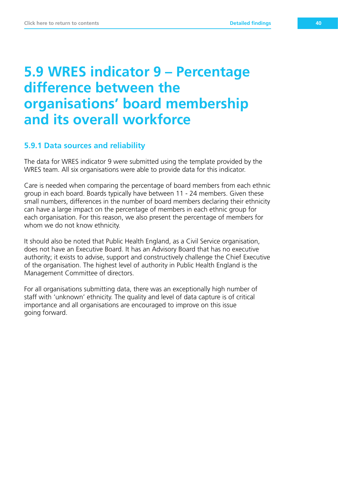### **5.9 WRES indicator 9 – Percentage difference between the organisations' board membership and its overall workforce**

#### **5.9.1 Data sources and reliability**

The data for WRES indicator 9 were submitted using the template provided by the WRES team. All six organisations were able to provide data for this indicator.

Care is needed when comparing the percentage of board members from each ethnic group in each board. Boards typically have between 11 - 24 members. Given these small numbers, differences in the number of board members declaring their ethnicity can have a large impact on the percentage of members in each ethnic group for each organisation. For this reason, we also present the percentage of members for whom we do not know ethnicity.

It should also be noted that Public Health England, as a Civil Service organisation, does not have an Executive Board. It has an Advisory Board that has no executive authority; it exists to advise, support and constructively challenge the Chief Executive of the organisation. The highest level of authority in Public Health England is the Management Committee of directors.

For all organisations submitting data, there was an exceptionally high number of staff with 'unknown' ethnicity. The quality and level of data capture is of critical importance and all organisations are encouraged to improve on this issue going forward.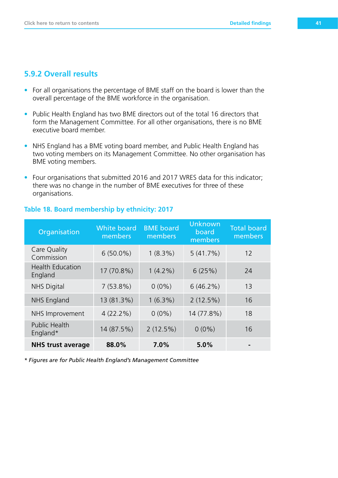#### **5.9.2 Overall results**

- For all organisations the percentage of BME staff on the board is lower than the overall percentage of the BME workforce in the organisation.
- Public Health England has two BME directors out of the total 16 directors that form the Management Committee. For all other organisations, there is no BME executive board member.
- NHS England has a BME voting board member, and Public Health England has two voting members on its Management Committee. No other organisation has BME voting members.
- Four organisations that submitted 2016 and 2017 WRES data for this indicator; there was no change in the number of BME executives for three of these organisations.

| Organisation                       | <b>White board</b><br>members | <b>BME</b> board<br>members | <b>Unknown</b><br>board<br>members | <b>Total board</b><br>members |
|------------------------------------|-------------------------------|-----------------------------|------------------------------------|-------------------------------|
| Care Quality<br>Commission         | $6(50.0\%)$                   | $1(8.3\%)$                  | 5(41.7%)                           | 12                            |
| <b>Health Education</b><br>England | 17 (70.8%)                    | $1(4.2\%)$                  | 6(25%)                             | 24                            |
| <b>NHS Digital</b>                 | 7(53.8%)                      | $0(0\%)$                    | $6(46.2\%)$                        | 13                            |
| <b>NHS England</b>                 | 13 (81.3%)                    | $1(6.3\%)$                  | 2(12.5%)                           | 16                            |
| NHS Improvement                    | $4(22.2\%)$                   | $0(0\%)$                    | 14 (77.8%)                         | 18                            |
| <b>Public Health</b><br>England*   | 14 (87.5%)                    | 2(12.5%)                    | $0(0\%)$                           | 16                            |
| <b>NHS trust average</b>           | 88.0%                         | 7.0%                        | 5.0%                               |                               |

#### **Table 18. Board membership by ethnicity: 2017**

*\* Figures are for Public Health England's Management Committee*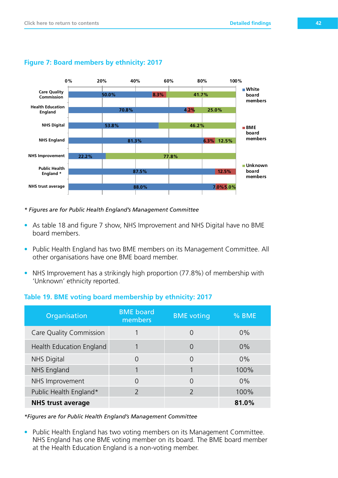

#### **Figure 7: Board members by ethnicity: 2017**

*\* Figures are for Public Health England's Management Committee*

- As table 18 and figure 7 show, NHS Improvement and NHS Digital have no BME board members.
- Public Health England has two BME members on its Management Committee. All other organisations have one BME board member.
- NHS Improvement has a strikingly high proportion (77.8%) of membership with 'Unknown' ethnicity reported.

#### **Table 19. BME voting board membership by ethnicity: 2017**

| Organisation                   | <b>BME</b> board<br>members | <b>BME</b> voting | % BME |
|--------------------------------|-----------------------------|-------------------|-------|
| <b>Care Quality Commission</b> |                             | Ω                 | 0%    |
| Health Education England       |                             | 0                 | 0%    |
| <b>NHS Digital</b>             | 0                           | 0                 | $0\%$ |
| <b>NHS England</b>             |                             |                   | 100%  |
| NHS Improvement                | $\Omega$                    | $\Omega$          | $0\%$ |
| Public Health England*         | $\mathcal{P}$               | $\mathcal{P}$     | 100%  |
| <b>NHS trust average</b>       |                             |                   | 81.0% |

*\*Figures are for Public Health England's Management Committee*

• Public Health England has two voting members on its Management Committee. NHS England has one BME voting member on its board. The BME board member at the Health Education England is a non-voting member.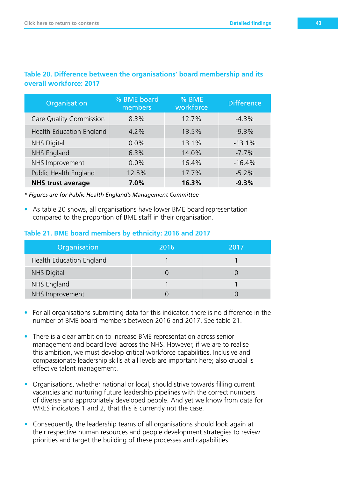| Organisation                   | % BME board<br>members | % BME<br>workforce | <b>Difference</b> |
|--------------------------------|------------------------|--------------------|-------------------|
| <b>Care Quality Commission</b> | 8.3%                   | 12.7%              | $-4.3%$           |
| Health Education England       | 4.2%                   | 13.5%              | $-9.3%$           |
| <b>NHS Digital</b>             | $0.0\%$                | 13.1%              | $-13.1%$          |
| NHS England                    | 6.3%                   | 14.0%              | $-7.7%$           |
| NHS Improvement                | 0.0%                   | 16.4%              | $-16.4%$          |
| Public Health England          | 12.5%                  | 17.7%              | $-5.2%$           |
| <b>NHS trust average</b>       | 7.0%                   | 16.3%              | $-9.3%$           |

#### **Table 20. Difference between the organisations' board membership and its overall workforce: 2017**

*\* Figures are for Public Health England's Management Committee*

• As table 20 shows, all organisations have lower BME board representation compared to the proportion of BME staff in their organisation.

#### **Table 21. BME board members by ethnicity: 2016 and 2017**

| Organisation             | 2016 | 2017 |
|--------------------------|------|------|
| Health Education England |      |      |
| <b>NHS Digital</b>       |      |      |
| NHS England              |      |      |
| NHS Improvement          |      |      |

- For all organisations submitting data for this indicator, there is no difference in the number of BME board members between 2016 and 2017. See table 21.
- There is a clear ambition to increase BME representation across senior management and board level across the NHS. However, if we are to realise this ambition, we must develop critical workforce capabilities. Inclusive and compassionate leadership skills at all levels are important here; also crucial is effective talent management.
- Organisations, whether national or local, should strive towards filling current vacancies and nurturing future leadership pipelines with the correct numbers of diverse and appropriately developed people. And yet we know from data for WRES indicators 1 and 2, that this is currently not the case.
- Consequently, the leadership teams of all organisations should look again at their respective human resources and people development strategies to review priorities and target the building of these processes and capabilities.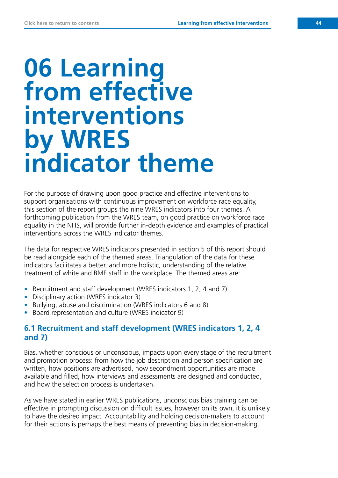## **06 Learning from effective interventions by WRES indicator theme**

For the purpose of drawing upon good practice and effective interventions to support organisations with continuous improvement on workforce race equality, this section of the report groups the nine WRES indicators into four themes. A forthcoming publication from the WRES team, on good practice on workforce race equality in the NHS, will provide further in-depth evidence and examples of practical interventions across the WRES indicator themes.

The data for respective WRES indicators presented in section 5 of this report should be read alongside each of the themed areas. Triangulation of the data for these indicators facilitates a better, and more holistic, understanding of the relative treatment of white and BME staff in the workplace. The themed areas are:

- Recruitment and staff development (WRES indicators 1, 2, 4 and 7)
- Disciplinary action (WRES indicator 3)
- Bullying, abuse and discrimination (WRES indicators 6 and 8)
- Board representation and culture (WRES indicator 9)

#### **6.1 Recruitment and staff development (WRES indicators 1, 2, 4 and 7)**

Bias, whether conscious or unconscious, impacts upon every stage of the recruitment and promotion process: from how the job description and person specification are written, how positions are advertised, how secondment opportunities are made available and filled, how interviews and assessments are designed and conducted, and how the selection process is undertaken.

As we have stated in earlier WRES publications, unconscious bias training can be effective in prompting discussion on difficult issues, however on its own, it is unlikely to have the desired impact. Accountability and holding decision-makers to account for their actions is perhaps the best means of preventing bias in decision-making.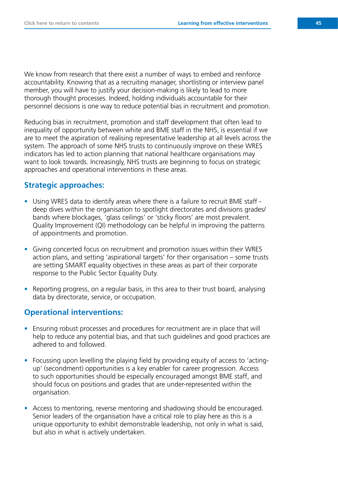We know from research that there exist a number of ways to embed and reinforce accountability. Knowing that as a recruiting manager, shortlisting or interview panel member, you will have to justify your decision-making is likely to lead to more thorough thought processes. Indeed, holding individuals accountable for their personnel decisions is one way to reduce potential bias in recruitment and promotion.

Reducing bias in recruitment, promotion and staff development that often lead to inequality of opportunity between white and BME staff in the NHS, is essential if we are to meet the aspiration of realising representative leadership at all levels across the system. The approach of some NHS trusts to continuously improve on these WRES indicators has led to action planning that national healthcare organisations may want to look towards. Increasingly, NHS trusts are beginning to focus on strategic approaches and operational interventions in these areas.

#### **Strategic approaches:**

- Using WRES data to identify areas where there is a failure to recruit BME staff deep dives within the organisation to spotlight directorates and divisions grades/ bands where blockages, 'glass ceilings' or 'sticky floors' are most prevalent. Quality Improvement (QI) methodology can be helpful in improving the patterns of appointments and promotion.
- Giving concerted focus on recruitment and promotion issues within their WRES action plans, and setting 'aspirational targets' for their organisation – some trusts are setting SMART equality objectives in these areas as part of their corporate response to the Public Sector Equality Duty.
- Reporting progress, on a regular basis, in this area to their trust board, analysing data by directorate, service, or occupation.

#### **Operational interventions:**

- Ensuring robust processes and procedures for recruitment are in place that will help to reduce any potential bias, and that such guidelines and good practices are adhered to and followed.
- Focussing upon levelling the playing field by providing equity of access to 'actingup' (secondment) opportunities is a key enabler for career progression. Access to such opportunities should be especially encouraged amongst BME staff, and should focus on positions and grades that are under-represented within the organisation.
- Access to mentoring, reverse mentoring and shadowing should be encouraged. Senior leaders of the organisation have a critical role to play here as this is a unique opportunity to exhibit demonstrable leadership, not only in what is said, but also in what is actively undertaken.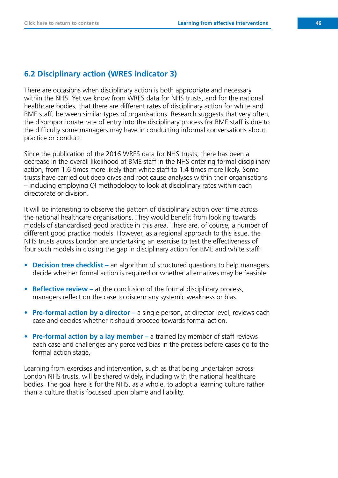#### **6.2 Disciplinary action (WRES indicator 3)**

There are occasions when disciplinary action is both appropriate and necessary within the NHS. Yet we know from WRES data for NHS trusts, and for the national healthcare bodies, that there are different rates of disciplinary action for white and BME staff, between similar types of organisations. Research suggests that very often, the disproportionate rate of entry into the disciplinary process for BME staff is due to the difficulty some managers may have in conducting informal conversations about practice or conduct.

Since the publication of the 2016 WRES data for NHS trusts, there has been a decrease in the overall likelihood of BME staff in the NHS entering formal disciplinary action, from 1.6 times more likely than white staff to 1.4 times more likely. Some trusts have carried out deep dives and root cause analyses within their organisations – including employing QI methodology to look at disciplinary rates within each directorate or division.

It will be interesting to observe the pattern of disciplinary action over time across the national healthcare organisations. They would benefit from looking towards models of standardised good practice in this area. There are, of course, a number of different good practice models. However, as a regional approach to this issue, the NHS trusts across London are undertaking an exercise to test the effectiveness of four such models in closing the gap in disciplinary action for BME and white staff:

- **• Decision tree checklist –** an algorithm of structured questions to help managers decide whether formal action is required or whether alternatives may be feasible.
- **• Reflective review –** at the conclusion of the formal disciplinary process, managers reflect on the case to discern any systemic weakness or bias.
- **Pre-formal action by a director** a single person, at director level, reviews each case and decides whether it should proceed towards formal action.
- **• Pre-formal action by a lay member –** a trained lay member of staff reviews each case and challenges any perceived bias in the process before cases go to the formal action stage.

Learning from exercises and intervention, such as that being undertaken across London NHS trusts, will be shared widely, including with the national healthcare bodies. The goal here is for the NHS, as a whole, to adopt a learning culture rather than a culture that is focussed upon blame and liability.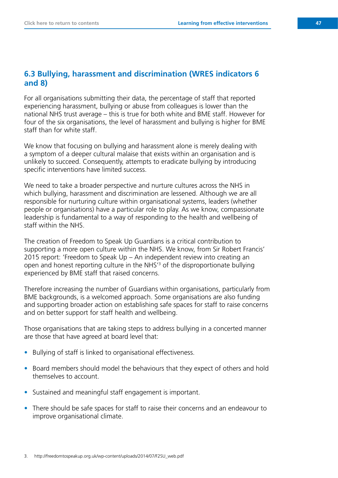#### **6.3 Bullying, harassment and discrimination (WRES indicators 6 and 8)**

For all organisations submitting their data, the percentage of staff that reported experiencing harassment, bullying or abuse from colleagues is lower than the national NHS trust average – this is true for both white and BME staff. However for four of the six organisations, the level of harassment and bullying is higher for BME staff than for white staff.

We know that focusing on bullying and harassment alone is merely dealing with a symptom of a deeper cultural malaise that exists within an organisation and is unlikely to succeed. Consequently, attempts to eradicate bullying by introducing specific interventions have limited success.

We need to take a broader perspective and nurture cultures across the NHS in which bullying, harassment and discrimination are lessened. Although we are all responsible for nurturing culture within organisational systems, leaders (whether people or organisations) have a particular role to play. As we know, compassionate leadership is fundamental to a way of responding to the health and wellbeing of staff within the NHS.

The creation of Freedom to Speak Up Guardians is a critical contribution to supporting a more open culture within the NHS. We know, from Sir Robert Francis' 2015 report: 'Freedom to Speak Up – An independent review into creating an open and honest reporting culture in the NHS'3 of the disproportionate bullying experienced by BME staff that raised concerns.

Therefore increasing the number of Guardians within organisations, particularly from BME backgrounds, is a welcomed approach. Some organisations are also funding and supporting broader action on establishing safe spaces for staff to raise concerns and on better support for staff health and wellbeing.

Those organisations that are taking steps to address bullying in a concerted manner are those that have agreed at board level that:

- Bullying of staff is linked to organisational effectiveness.
- Board members should model the behaviours that they expect of others and hold themselves to account.
- Sustained and meaningful staff engagement is important.
- There should be safe spaces for staff to raise their concerns and an endeavour to improve organisational climate.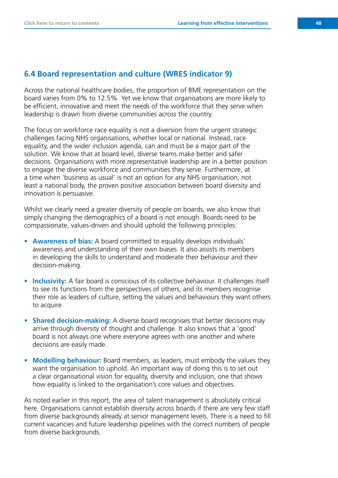#### **6.4 Board representation and culture (WRES indicator 9)**

Across the national healthcare bodies, the proportion of BME representation on the board varies from 0% to 12.5%. Yet we know that organisations are more likely to be efficient, innovative and meet the needs of the workforce that they serve when leadership is drawn from diverse communities across the country.

The focus on workforce race equality is not a diversion from the urgent strategic challenges facing NHS organisations, whether local or national. Instead, race equality, and the wider inclusion agenda, can and must be a major part of the solution. We know that at board level, diverse teams make better and safer decisions. Organisations with more representative leadership are in a better position to engage the diverse workforce and communities they serve. Furthermore, at a time when 'business as usual' is not an option for any NHS organisation, not least a national body, the proven positive association between board diversity and innovation is persuasive.

Whilst we clearly need a greater diversity of people on boards, we also know that simply changing the demographics of a board is not enough. Boards need to be compassionate, values-driven and should uphold the following principles:

- **• Awareness of bias:** A board committed to equality develops individuals' awareness and understanding of their own biases. It also assists its members in developing the skills to understand and moderate their behaviour and their decision-making.
- **• Inclusivity:** A fair board is conscious of its collective behaviour. It challenges itself to see its functions from the perspectives of others, and its members recognise their role as leaders of culture, setting the values and behaviours they want others to acquire.
- **Shared decision-making:** A diverse board recognises that better decisions may arrive through diversity of thought and challenge. It also knows that a 'good' board is not always one where everyone agrees with one another and where decisions are easily made.
- **• Modelling behaviour:** Board members, as leaders, must embody the values they want the organisation to uphold. An important way of doing this is to set out a clear organisational vision for equality, diversity and inclusion, one that shows how equality is linked to the organisation's core values and objectives.

As noted earlier in this report, the area of talent management is absolutely critical here. Organisations cannot establish diversity across boards if there are very few staff from diverse backgrounds already at senior management levels. There is a need to fill current vacancies and future leadership pipelines with the correct numbers of people from diverse backgrounds.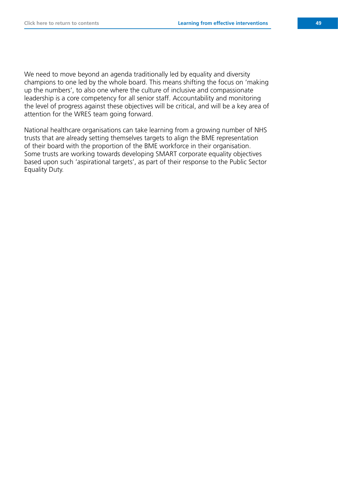We need to move beyond an agenda traditionally led by equality and diversity champions to one led by the whole board. This means shifting the focus on 'making up the numbers', to also one where the culture of inclusive and compassionate leadership is a core competency for all senior staff. Accountability and monitoring the level of progress against these objectives will be critical, and will be a key area of attention for the WRES team going forward.

National healthcare organisations can take learning from a growing number of NHS trusts that are already setting themselves targets to align the BME representation of their board with the proportion of the BME workforce in their organisation. Some trusts are working towards developing SMART corporate equality objectives based upon such 'aspirational targets', as part of their response to the Public Sector Equality Duty.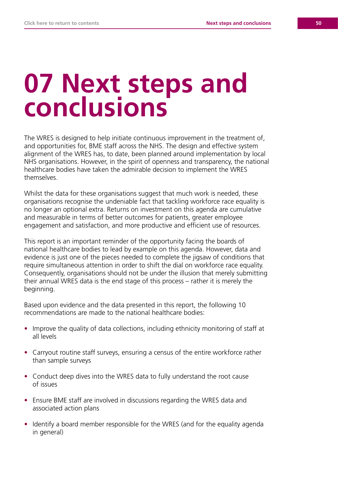# **07 Next steps and conclusions**

The WRES is designed to help initiate continuous improvement in the treatment of, and opportunities for, BME staff across the NHS. The design and effective system alignment of the WRES has, to date, been planned around implementation by local NHS organisations. However, in the spirit of openness and transparency, the national healthcare bodies have taken the admirable decision to implement the WRES themselves.

Whilst the data for these organisations suggest that much work is needed, these organisations recognise the undeniable fact that tackling workforce race equality is no longer an optional extra. Returns on investment on this agenda are cumulative and measurable in terms of better outcomes for patients, greater employee engagement and satisfaction, and more productive and efficient use of resources.

This report is an important reminder of the opportunity facing the boards of national healthcare bodies to lead by example on this agenda. However, data and evidence is just one of the pieces needed to complete the jigsaw of conditions that require simultaneous attention in order to shift the dial on workforce race equality. Consequently, organisations should not be under the illusion that merely submitting their annual WRES data is the end stage of this process – rather it is merely the beginning.

Based upon evidence and the data presented in this report, the following 10 recommendations are made to the national healthcare bodies:

- Improve the quality of data collections, including ethnicity monitoring of staff at all levels
- Carryout routine staff surveys, ensuring a census of the entire workforce rather than sample surveys
- Conduct deep dives into the WRES data to fully understand the root cause of issues
- Ensure BME staff are involved in discussions regarding the WRES data and associated action plans
- Identify a board member responsible for the WRES (and for the equality agenda in general)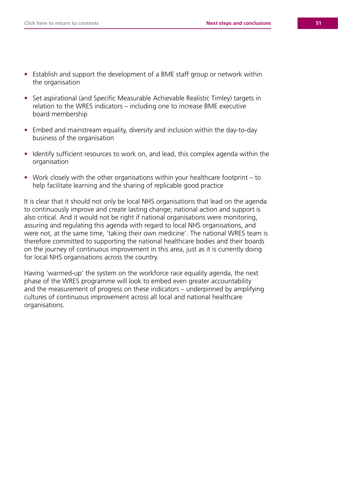- Establish and support the development of a BME staff group or network within the organisation
- Set aspirational (and Specific Measurable Achievable Realistic Timley) targets in relation to the WRES indicators – including one to increase BME executive board membership
- Embed and mainstream equality, diversity and inclusion within the day-to-day business of the organisation
- Identify sufficient resources to work on, and lead, this complex agenda within the organisation
- Work closely with the other organisations within your healthcare footprint to help facilitate learning and the sharing of replicable good practice

It is clear that it should not only be local NHS organisations that lead on the agenda to continuously improve and create lasting change; national action and support is also critical. And it would not be right if national organisations were monitoring, assuring and regulating this agenda with regard to local NHS organisations, and were not, at the same time, 'taking their own medicine'. The national WRES team is therefore committed to supporting the national healthcare bodies and their boards on the journey of continuous improvement in this area, just as it is currently doing for local NHS organisations across the country.

Having 'warmed-up' the system on the workforce race equality agenda, the next phase of the WRES programme will look to embed even greater accountability and the measurement of progress on these indicators – underpinned by amplifying cultures of continuous improvement across all local and national healthcare organisations.